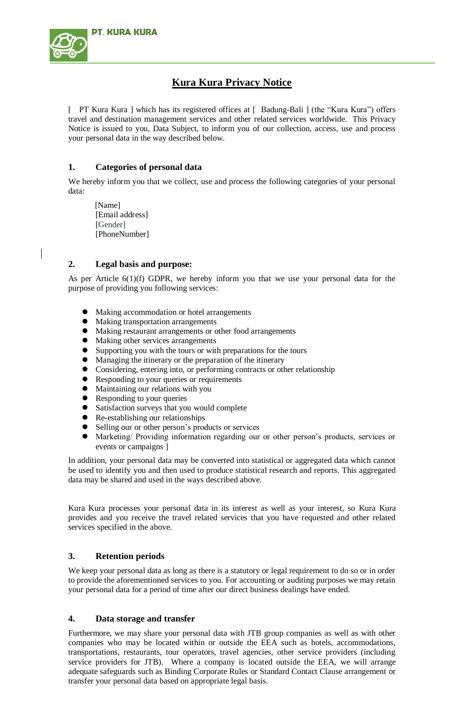

# **Kura Kura Privacy Notice**

[ PT Kura Kura ] which has its registered offices at [ Badung-Bali ] (the "Kura Kura") offers travel and destination management services and other related services worldwide. This Privacy Notice is issued to you, Data Subject, to inform you of our collection, access, use and process your personal data in the way described below.

## **1. Categories of personal data**

We hereby inform you that we collect, use and process the following categories of your personal data:

[Name] [Email address] [Gender] [PhoneNumber]

#### **2. Legal basis and purpose:**

As per Article 6(1)(f) GDPR, we hereby inform you that we use your personal data for the purpose of providing you following services:

- Making accommodation or hotel arrangements
- Making transportation arrangements
- Making restaurant arrangements or other food arrangements
- Making other services arrangements
- Supporting you with the tours or with preparations for the tours
- Managing the itinerary or the preparation of the itinerary
- Considering, entering into, or performing contracts or other relationship
- Responding to your queries or requirements
- Maintaining our relations with you
- Responding to your queries
- Satisfaction surveys that you would complete
- Re-establishing our relationships
- Selling our or other person's products or services
- Marketing/ Providing information regarding our or other person's products, services or events or campaigns ]

In addition, your personal data may be converted into statistical or aggregated data which cannot be used to identify you and then used to produce statistical research and reports. This aggregated data may be shared and used in the ways described above.

Kura Kura processes your personal data in its interest as well as your interest, so Kura Kura provides and you receive the travel related services that you have requested and other related services specified in the above.

## **3. Retention periods**

We keep your personal data as long as there is a statutory or legal requirement to do so or in order to provide the aforementioned services to you. For accounting or auditing purposes we may retain your personal data for a period of time after our direct business dealings have ended.

## **4. Data storage and transfer**

Furthermore, we may share your personal data with JTB group companies as well as with other companies who may be located within or outside the EEA such as hotels, accommodations, transportations, restaurants, tour operators, travel agencies, other service providers (including service providers for JTB). Where a company is located outside the EEA, we will arrange adequate safeguards such as Binding Corporate Rules or Standard Contact Clause arrangement or transfer your personal data based on appropriate legal basis.